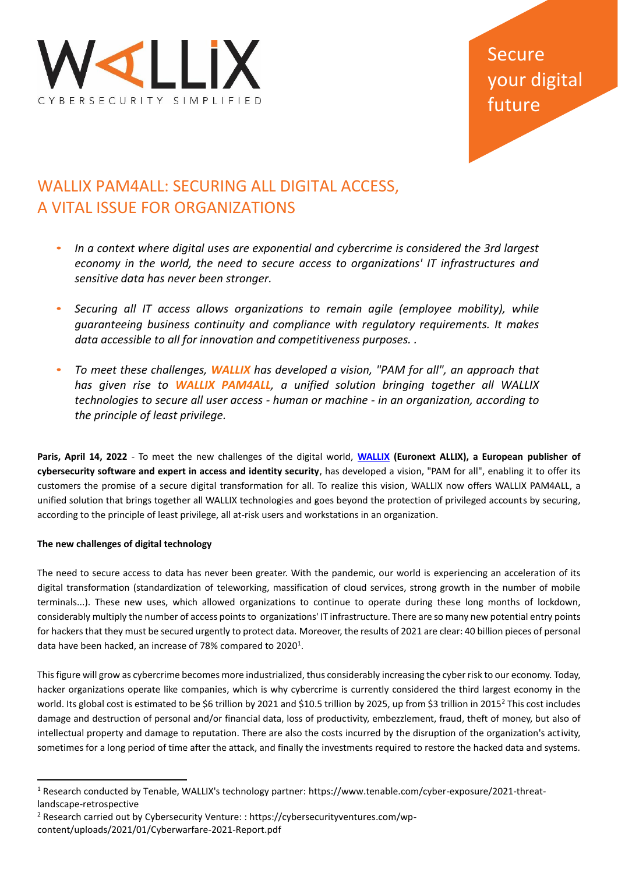

Secure your digital future

# WALLIX PAM4ALL: SECURING ALL DIGITAL ACCESS, A VITAL ISSUE FOR ORGANIZATIONS

- *In a context where digital uses are exponential and cybercrime is considered the 3rd largest economy in the world, the need to secure access to organizations' IT infrastructures and sensitive data has never been stronger.*
- *Securing all IT access allows organizations to remain agile (employee mobility), while guaranteeing business continuity and compliance with regulatory requirements. It makes data accessible to all for innovation and competitiveness purposes. .*
- *To meet these challenges, WALLIX has developed a vision, "PAM for all", an approach that has given rise to WALLIX PAM4ALL, a unified solution bringing together all WALLIX technologies to secure all user access - human or machine - in an organization, according to the principle of least privilege.*

**Paris, April 14, 2022** - To meet the new challenges of the digital world, **[WALLIX](https://www.wallix.com/) (Euronext ALLIX), a European publisher of cybersecurity software and expert in access and identity security**, has developed a vision, "PAM for all", enabling it to offer its customers the promise of a secure digital transformation for all. To realize this vision, WALLIX now offers WALLIX PAM4ALL, a unified solution that brings together all WALLIX technologies and goes beyond the protection of privileged accounts by securing, according to the principle of least privilege, all at-risk users and workstations in an organization.

## **The new challenges of digital technology**

The need to secure access to data has never been greater. With the pandemic, our world is experiencing an acceleration of its digital transformation (standardization of teleworking, massification of cloud services, strong growth in the number of mobile terminals...). These new uses, which allowed organizations to continue to operate during these long months of lockdown, considerably multiply the number of access points to organizations' IT infrastructure. There are so many new potential entry points for hackers that they must be secured urgently to protect data. Moreover, the results of 2021 are clear: 40 billion pieces of personal data have been hacked, an increase of 78% compared to 2020<sup>1</sup>.

This figure will grow as cybercrime becomes more industrialized, thus considerably increasing the cyber risk to our economy. Today, hacker organizations operate like companies, which is why cybercrime is currently considered the third largest economy in the world. Its global cost is estimated to be \$6 trillion by 2021 and \$10.5 trillion by 2025, up from \$3 trillion in 2015<sup>2</sup> This cost includes damage and destruction of personal and/or financial data, loss of productivity, embezzlement, fraud, theft of money, but also of intellectual property and damage to reputation. There are also the costs incurred by the disruption of the organization's activity, sometimes for a long period of time after the attack, and finally the investments required to restore the hacked data and systems.

<sup>1</sup> Research conducted by Tenable, WALLIX's technology partner: https://www.tenable.com/cyber-exposure/2021-threatlandscape-retrospective

<sup>&</sup>lt;sup>2</sup> Research carried out by Cybersecurity Venture: : https://cybersecurityventures.com/wpcontent/uploads/2021/01/Cyberwarfare-2021-Report.pdf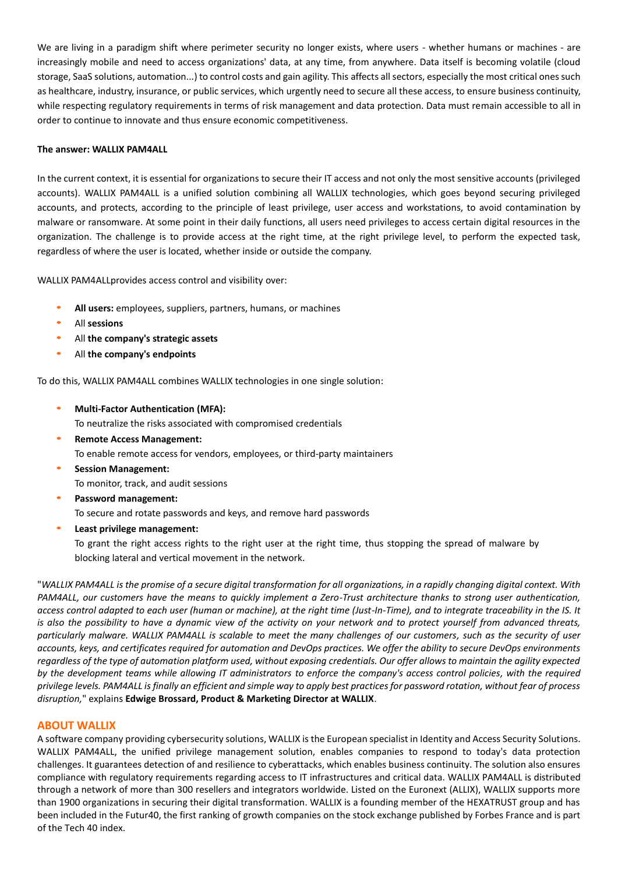We are living in a paradigm shift where perimeter security no longer exists, where users - whether humans or machines - are increasingly mobile and need to access organizations' data, at any time, from anywhere. Data itself is becoming volatile (cloud storage, SaaS solutions, automation...) to control costs and gain agility. This affects all sectors, especially the most critical ones such as healthcare, industry, insurance, or public services, which urgently need to secure all these access, to ensure business continuity, while respecting regulatory requirements in terms of risk management and data protection. Data must remain accessible to all in order to continue to innovate and thus ensure economic competitiveness.

#### **The answer: WALLIX PAM4ALL**

In the current context, it is essential for organizations to secure their IT access and not only the most sensitive accounts (privileged accounts). WALLIX PAM4ALL is a unified solution combining all WALLIX technologies, which goes beyond securing privileged accounts, and protects, according to the principle of least privilege, user access and workstations, to avoid contamination by malware or ransomware. At some point in their daily functions, all users need privileges to access certain digital resources in the organization. The challenge is to provide access at the right time, at the right privilege level, to perform the expected task, regardless of where the user is located, whether inside or outside the company.

WALLIX PAM4ALLprovides access control and visibility over:

- **All users:** employees, suppliers, partners, humans, or machines
- All **sessions**
- All **the company's strategic assets**
- All **the company's endpoints**

To do this, WALLIX PAM4ALL combines WALLIX technologies in one single solution:

- **Multi-Factor Authentication (MFA):**  To neutralize the risks associated with compromised credentials
- **Remote Access Management:** To enable remote access for vendors, employees, or third-party maintainers
- **Session Management:**  To monitor, track, and audit sessions
- **Password management:**

To secure and rotate passwords and keys, and remove hard passwords

• **Least privilege management:**

To grant the right access rights to the right user at the right time, thus stopping the spread of malware by blocking lateral and vertical movement in the network.

"*WALLIX PAM4ALL is the promise of a secure digital transformation for all organizations, in a rapidly changing digital context. With PAM4ALL, our customers have the means to quickly implement a Zero-Trust architecture thanks to strong user authentication, access control adapted to each user (human or machine), at the right time (Just-In-Time), and to integrate traceability in the IS. It is also the possibility to have a dynamic view of the activity on your network and to protect yourself from advanced threats, particularly malware. WALLIX PAM4ALL is scalable to meet the many challenges of our customers, such as the security of user accounts, keys, and certificates required for automation and DevOps practices. We offer the ability to secure DevOps environments regardless of the type of automation platform used, without exposing credentials. Our offer allows to maintain the agility expected by the development teams while allowing IT administrators to enforce the company's access control policies, with the required privilege levels. PAM4ALL is finally an efficient and simple way to apply best practices for password rotation, without fear of process disruption,*" explains **Edwige Brossard, Product & Marketing Director at WALLIX**.

#### **ABOUT WALLIX**

A software company providing cybersecurity solutions, WALLIX is the European specialist in Identity and Access Security Solutions. WALLIX PAM4ALL, the unified privilege management solution, enables companies to respond to today's data protection challenges. It guarantees detection of and resilience to cyberattacks, which enables business continuity. The solution also ensures compliance with regulatory requirements regarding access to IT infrastructures and critical data. WALLIX PAM4ALL is distributed through a network of more than 300 resellers and integrators worldwide. Listed on the Euronext (ALLIX), WALLIX supports more than 1900 organizations in securing their digital transformation. WALLIX is a founding member of the HEXATRUST group and has been included in the Futur40, the first ranking of growth companies on the stock exchange published by Forbes France and is part of the Tech 40 index.